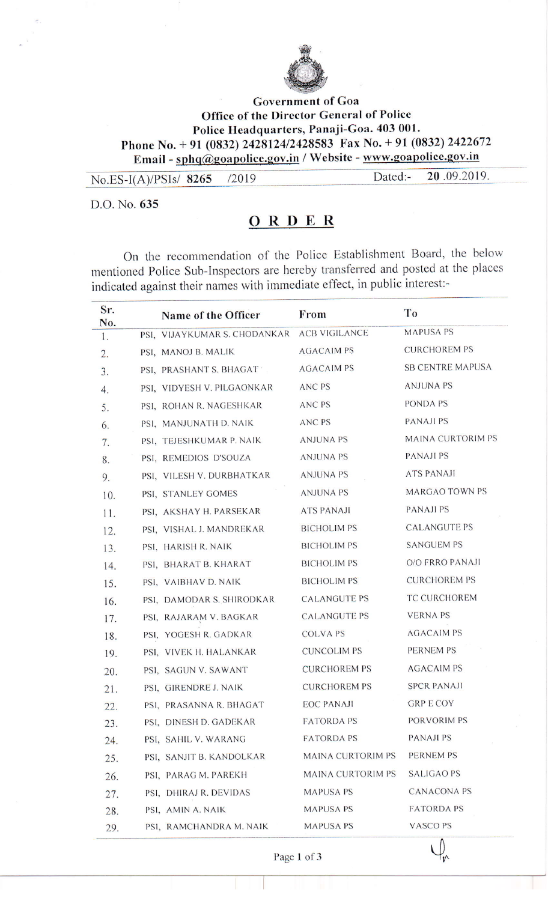

## **Government** of Goa Office of the Director General of Police Police Headquarters, Panaji-Goa. 403 001. Phone No. + 91 (0832) 2428124/2428583 Fax No. + 91 (0832) 2422672 Email - sphq@goapolice.gov.in / Website - www.goapolice.gov.in

| No.ES-I(A)/PSIs/ $8265$ /2019 | Dated:- 20.09.2019. |
|-------------------------------|---------------------|

D.O. No. 635

## ORDER

On the recommendation of the Police Establishment Board, the below mentioned Police Sub-Inspectors are hereby transferred and posted at the places indicated against their names with immediate effect, in public interest:-

| Sr.<br>No. | Name of the Officer          | From                     | To                      |
|------------|------------------------------|--------------------------|-------------------------|
| 1.         | PSI, VIJAYKUMAR S. CHODANKAR | <b>ACB VIGILANCE</b>     | <b>MAPUSA PS</b>        |
| 2.         | PSI, MANOJ B. MALIK          | <b>AGACAIM PS</b>        | <b>CURCHOREM PS</b>     |
| 3.         | PSI, PRASHANT S. BHAGAT      | <b>AGACAIM PS</b>        | <b>SB CENTRE MAPUSA</b> |
| 4.         | PSI, VIDYESH V. PILGAONKAR   | ANC <sub>PS</sub>        | <b>ANJUNA PS</b>        |
| 5.         | PSI, ROHAN R. NAGESHKAR      | <b>ANC PS</b>            | PONDA PS                |
| 6.         | PSI, MANJUNATH D. NAIK       | ANC PS                   | <b>PANAJI PS</b>        |
| 7.         | PSI, TEJESHKUMAR P. NAIK     | <b>ANJUNA PS</b>         | MAINA CURTORIM PS       |
| 8.         | PSI, REMEDIOS D'SOUZA        | <b>ANJUNA PS</b>         | <b>PANAJI PS</b>        |
| 9.         | PSI, VILESH V. DURBHATKAR    | <b>ANJUNA PS</b>         | <b>ATS PANAJI</b>       |
| 10.        | PSI, STANLEY GOMES           | <b>ANJUNA PS</b>         | <b>MARGAO TOWN PS</b>   |
| 11.        | PSI, AKSHAY H. PARSEKAR      | <b>ATS PANAJI</b>        | <b>PANAJI PS</b>        |
| 12.        | PSI, VISHAL J. MANDREKAR     | <b>BICHOLIM PS</b>       | <b>CALANGUTE PS</b>     |
| 13.        | PSI, HARISH R. NAIK          | <b>BICHOLIM PS</b>       | <b>SANGUEM PS</b>       |
| 14.        | PSI, BHARAT B. KHARAT        | <b>BICHOLIM PS</b>       | <b>O/O FRRO PANAJI</b>  |
| 15.        | PSI, VAIBHAV D. NAIK         | <b>BICHOLIM PS</b>       | <b>CURCHOREM PS</b>     |
| 16.        | PSI, DAMODAR S. SHIRODKAR    | <b>CALANGUTE PS</b>      | TC CURCHOREM            |
| 17.        | PSI, RAJARAM V. BAGKAR       | <b>CALANGUTE PS</b>      | <b>VERNA PS</b>         |
| 18.        | PSI, YOGESH R. GADKAR        | <b>COLVA PS</b>          | <b>AGACAIM PS</b>       |
| 19.        | PSI, VIVEK H. HALANKAR       | <b>CUNCOLIM PS</b>       | PERNEM PS               |
| 20.        | PSI, SAGUN V. SAWANT         | <b>CURCHOREM PS</b>      | <b>AGACAIM PS</b>       |
| 21.        | PSI, GIRENDRE J. NAIK        | <b>CURCHOREM PS</b>      | <b>SPCR PANAJI</b>      |
| 22.        | PSI, PRASANNA R. BHAGAT      | <b>EOC PANAJI</b>        | <b>GRP E COY</b>        |
| 23.        | PSI, DINESH D. GADEKAR       | <b>FATORDA PS</b>        | <b>PORVORIM PS</b>      |
| 24.        | PSI, SAHIL V. WARANG         | <b>FATORDA PS</b>        | <b>PANAJI PS</b>        |
| 25.        | PSI, SANJIT B. KANDOLKAR     | <b>MAINA CURTORIM PS</b> | <b>PERNEM PS</b>        |
| 26.        | PSI, PARAG M. PAREKH         | MAINA CURTORIM PS        | <b>SALIGAO PS</b>       |
| 27.        | PSI, DHIRAJ R. DEVIDAS       | <b>MAPUSA PS</b>         | <b>CANACONA PS</b>      |
| 28.        | PSI, AMIN A. NAIK            | <b>MAPUSA PS</b>         | <b>FATORDA PS</b>       |
| 29.        | PSI, RAMCHANDRA M. NAIK      | <b>MAPUSA PS</b>         | <b>VASCOPS</b>          |

Page 1 of 3

 $\bigcup_{v}$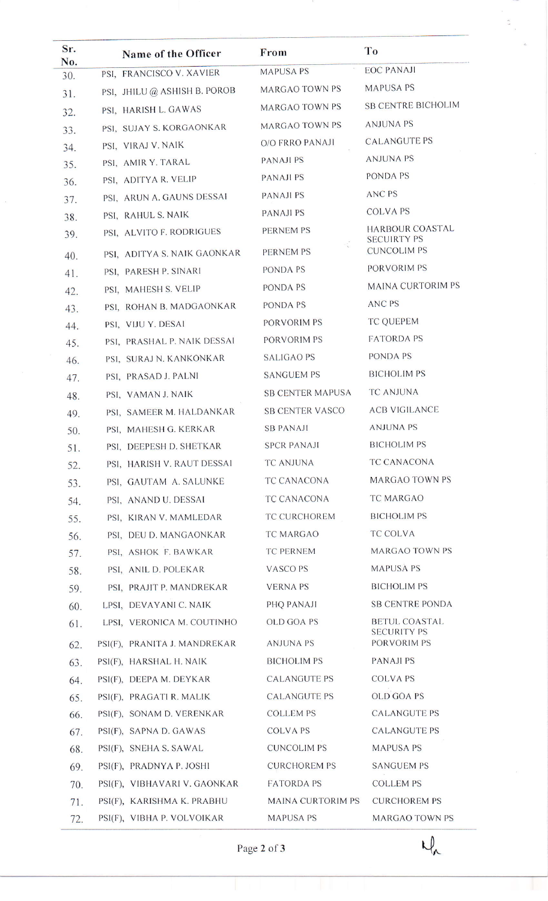| Sr.        | Name of the Officer          | From                     | To                                       |
|------------|------------------------------|--------------------------|------------------------------------------|
| No.<br>30. | PSI, FRANCISCO V. XAVIER     | <b>MAPUSA PS</b>         | <b>EOC PANAJI</b>                        |
| 31.        | PSI, JHILU @ ASHISH B. POROB | MARGAO TOWN PS           | <b>MAPUSA PS</b>                         |
| 32.        | PSI, HARISH L. GAWAS         | MARGAO TOWN PS           | <b>SB CENTRE BICHOLIM</b>                |
| 33.        | PSI, SUJAY S. KORGAONKAR     | MARGAO TOWN PS           | <b>ANJUNA PS</b>                         |
| 34.        | PSI, VIRAJ V. NAIK           | <b>O/O FRRO PANAJI</b>   | <b>CALANGUTE PS</b>                      |
| 35.        | PSI, AMIR Y. TARAL           | <b>PANAJI PS</b>         | <b>ANJUNA PS</b>                         |
| 36.        | PSI, ADITYA R. VELIP         | <b>PANAJI PS</b>         | PONDA PS                                 |
| 37.        | PSI, ARUN A. GAUNS DESSAI    | <b>PANAJI PS</b>         | <b>ANC PS</b>                            |
| 38.        | PSI, RAHUL S. NAIK           | <b>PANAJI PS</b>         | <b>COLVAPS</b>                           |
| 39.        | PSI, ALVITO F. RODRIGUES     | PERNEM PS                | <b>HARBOUR COASTAL</b>                   |
| 40.        | PSI, ADITYA S. NAIK GAONKAR  | <b>PERNEM PS</b>         | <b>SECUIRTY PS</b><br><b>CUNCOLIM PS</b> |
| 41.        | PSI, PARESH P. SINARI        | PONDA PS                 | PORVORIM PS                              |
| 42.        | PSI, MAHESH S. VELIP         | PONDA PS                 | <b>MAINA CURTORIM PS</b>                 |
| 43.        | PSI, ROHAN B. MADGAONKAR     | PONDA PS                 | ANC PS                                   |
| 44.        | PSI, VIJU Y. DESAI           | PORVORIM PS              | <b>TC QUEPEM</b>                         |
| 45.        | PSI, PRASHAL P. NAIK DESSAI  | PORVORIM PS              | <b>FATORDA PS</b>                        |
| 46.        | PSI, SURAJ N. KANKONKAR      | <b>SALIGAO PS</b>        | PONDA PS                                 |
| 47.        | PSI, PRASAD J. PALNI         | <b>SANGUEM PS</b>        | <b>BICHOLIM PS</b>                       |
| 48.        | PSI, VAMAN J. NAIK           | <b>SB CENTER MAPUSA</b>  | <b>TC ANJUNA</b>                         |
| 49.        | PSI, SAMEER M. HALDANKAR     | <b>SB CENTER VASCO</b>   | <b>ACB VIGILANCE</b>                     |
| 50.        | PSI, MAHESH G. KERKAR        | <b>SB PANAJI</b>         | <b>ANJUNA PS</b>                         |
| 51.        | PSI, DEEPESH D. SHETKAR      | <b>SPCR PANAJI</b>       | <b>BICHOLIM PS</b>                       |
| 52.        | PSI, HARISH V. RAUT DESSAI   | TC ANJUNA                | <b>TC CANACONA</b>                       |
| 53.        | PSI, GAUTAM A. SALUNKE       | TC CANACONA              | <b>MARGAO TOWN PS</b>                    |
| 54.        | PSI, ANAND U. DESSAI         | TC CANACONA              | TC MARGAO                                |
| 55.        | PSI, KIRAN V. MAMLEDAR       | TC CURCHOREM             | <b>BICHOLIM PS</b>                       |
| 56.        | PSI, DEU D. MANGAONKAR       | TC MARGAO                | <b>TC COLVA</b>                          |
| 57.        | PSI, ASHOK F. BAWKAR         | TC PERNEM                | <b>MARGAO TOWN PS</b>                    |
| 58.        | PSI, ANIL D. POLEKAR         | VASCO PS                 | <b>MAPUSA PS</b>                         |
| 59.        | PSI, PRAJIT P. MANDREKAR     | <b>VERNAPS</b>           | <b>BICHOLIM PS</b>                       |
| 60.        | LPSI, DEVAYANI C. NAIK       | PHQ PANAJI               | <b>SB CENTRE PONDA</b>                   |
| 61.        | LPSI, VERONICA M. COUTINHO   | OLD GOA PS               | <b>BETUL COASTAL</b>                     |
| 62.        | PSI(F), PRANITA J. MANDREKAR | ANJUNA PS                | <b>SECURITY PS</b><br>PORVORIM PS        |
| 63.        | PSI(F), HARSHAL H. NAIK      | <b>BICHOLIM PS</b>       | PANAJI PS                                |
| 64.        | PSI(F), DEEPA M. DEYKAR      | <b>CALANGUTE PS</b>      | <b>COLVA PS</b>                          |
| 65.        | PSI(F), PRAGATI R. MALIK     | <b>CALANGUTE PS</b>      | <b>OLD GOA PS</b>                        |
| 66.        | PSI(F), SONAM D. VERENKAR    | <b>COLLEM PS</b>         | <b>CALANGUTE PS</b>                      |
| 67.        | PSI(F), SAPNA D. GAWAS       | <b>COLVA PS</b>          | <b>CALANGUTE PS</b>                      |
| 68.        | PSI(F), SNEHA S. SAWAL       | <b>CUNCOLIM PS</b>       | <b>MAPUSA PS</b>                         |
| 69.        | PSI(F), PRADNYA P. JOSHI     | <b>CURCHOREM PS</b>      | <b>SANGUEM PS</b>                        |
| 70.        | PSI(F), VIBHAVARI V. GAONKAR | <b>FATORDA PS</b>        | <b>COLLEM PS</b>                         |
| 71.        | PSI(F), KARISHMA K. PRABHU   | <b>MAINA CURTORIM PS</b> | <b>CURCHOREM PS</b>                      |
| 72.        | PSI(F), VIBHA P. VOLVOIKAR   | MAPUSA PS                | <b>MARGAO TOWN PS</b>                    |

Page 2 of 3

 $U_{\lambda}$ 

 $\frac{3}{2}$